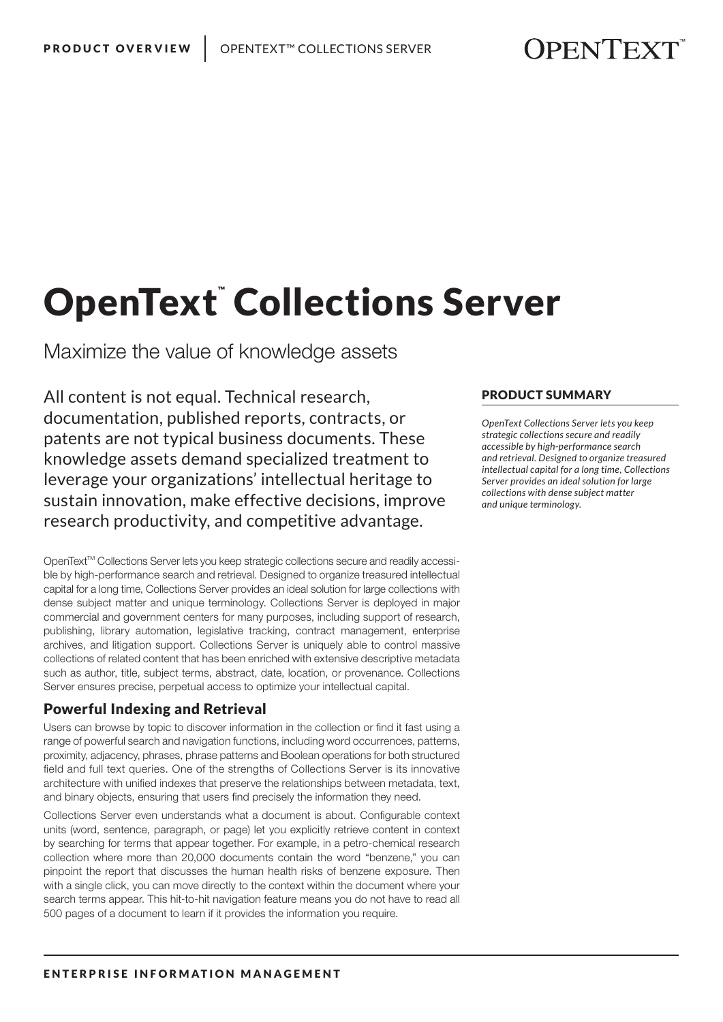# OpenText™Collections Server

Maximize the value of knowledge assets

All content is not equal. Technical research, documentation, published reports, contracts, or patents are not typical business documents. These knowledge assets demand specialized treatment to leverage your organizations' intellectual heritage to sustain innovation, make effective decisions, improve research productivity, and competitive advantage.

OpenText™ Collections Server lets you keep strategic collections secure and readily accessible by high-performance search and retrieval. Designed to organize treasured intellectual capital for a long time, Collections Server provides an ideal solution for large collections with dense subject matter and unique terminology. Collections Server is deployed in major commercial and government centers for many purposes, including support of research, publishing, library automation, legislative tracking, contract management, enterprise archives, and litigation support. Collections Server is uniquely able to control massive collections of related content that has been enriched with extensive descriptive metadata such as author, title, subject terms, abstract, date, location, or provenance. Collections Server ensures precise, perpetual access to optimize your intellectual capital.

## Powerful Indexing and Retrieval

Users can browse by topic to discover information in the collection or find it fast using a range of powerful search and navigation functions, including word occurrences, patterns, proximity, adjacency, phrases, phrase patterns and Boolean operations for both structured field and full text queries. One of the strengths of Collections Server is its innovative architecture with unified indexes that preserve the relationships between metadata, text, and binary objects, ensuring that users find precisely the information they need.

Collections Server even understands what a document is about. Configurable context units (word, sentence, paragraph, or page) let you explicitly retrieve content in context by searching for terms that appear together. For example, in a petro-chemical research collection where more than 20,000 documents contain the word "benzene," you can pinpoint the report that discusses the human health risks of benzene exposure. Then with a single click, you can move directly to the context within the document where your search terms appear. This hit-to-hit navigation feature means you do not have to read all 500 pages of a document to learn if it provides the information you require.

#### PRODUCT SUMMARY

*OpenText Collections Server lets you keep strategic collections secure and readily accessible by high-performance search and retrieval. Designed to organize treasured intellectual capital for a long time, Collections Server provides an ideal solution for large collections with dense subject matter and unique terminology.*